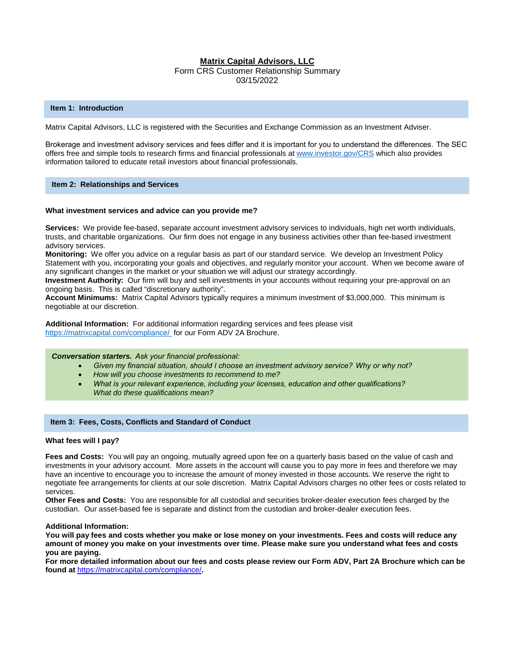# **Matrix Capital Advisors, LLC**

Form CRS Customer Relationship Summary 03/15/2022

# **Item 1: Introduction**

Matrix Capital Advisors, LLC is registered with the Securities and Exchange Commission as an Investment Adviser.

Brokerage and investment advisory services and fees differ and it is important for you to understand the differences.  The SEC offers free and simple tools to research firms and financial professionals a[t www.investor.gov/CRS](http://www.investor.gov/CRS) which also provides information tailored to educate retail investors about financial professionals.

# **Item 2: Relationships and Services**

# **What investment services and advice can you provide me?**

**Services:** We provide fee-based, separate account investment advisory services to individuals, high net worth individuals, trusts, and charitable organizations. Our firm does not engage in any business activities other than fee-based investment advisory services.

**Monitoring:** We offer you advice on a regular basis as part of our standard service. We develop an Investment Policy Statement with you, incorporating your goals and objectives, and regularly monitor your account. When we become aware of any significant changes in the market or your situation we will adjust our strategy accordingly.

**Investment Authority:** Our firm will buy and sell investments in your accounts without requiring your pre-approval on an ongoing basis. This is called "discretionary authority".

**Account Minimums:** Matrix Capital Advisors typically requires a minimum investment of \$3,000,000. This minimum is negotiable at our discretion.

**Additional Information:** For additional information regarding services and fees please visit <https://matrixcapital.com/compliance/> for our Form ADV 2A Brochure.

# *Conversation starters.  Ask your financial professional:*

- *Given my financial situation, should I choose an investment advisory service?  Why or why not?*
- *How will you choose investments to recommend to me?*
- *What is your relevant experience, including your licenses, education and other qualifications?   What do these qualifications mean?*

# **Item 3: Fees, Costs, Conflicts and Standard of Conduct**

### **What fees will I pay?**

**Fees and Costs:** You will pay an ongoing, mutually agreed upon fee on a quarterly basis based on the value of cash and investments in your advisory account. More assets in the account will cause you to pay more in fees and therefore we may have an incentive to encourage you to increase the amount of money invested in those accounts. We reserve the right to negotiate fee arrangements for clients at our sole discretion. Matrix Capital Advisors charges no other fees or costs related to services.

**Other Fees and Costs:** You are responsible for all custodial and securities broker-dealer execution fees charged by the custodian. Our asset-based fee is separate and distinct from the custodian and broker-dealer execution fees.

### **Additional Information:**

**You will pay fees and costs whether you make or lose money on your investments. Fees and costs will reduce any amount of money you make on your investments over time. Please make sure you understand what fees and costs you are paying.**

**For more detailed information about our fees and costs please review our Form ADV, Part 2A Brochure which can be found at** <https://matrixcapital.com/compliance/>**.**